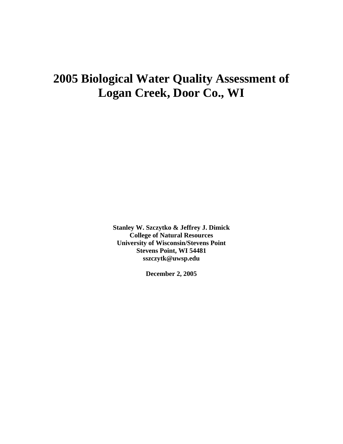# **2005 Biological Water Quality Assessment of Logan Creek, Door Co., WI**

**Stanley W. Szczytko & Jeffrey J. Dimick College of Natural Resources University of Wisconsin/Stevens Point Stevens Point, WI 54481 sszczytk@uwsp.edu** 

**December 2, 2005**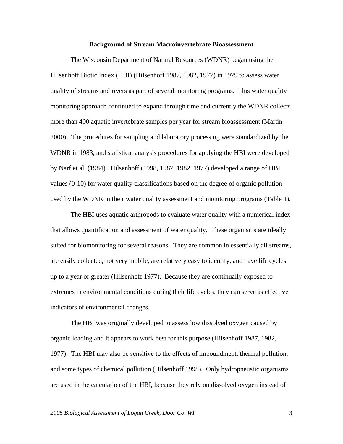### **Background of Stream Macroinvertebrate Bioassessment**

The Wisconsin Department of Natural Resources (WDNR) began using the Hilsenhoff Biotic Index (HBI) (Hilsenhoff 1987, 1982, 1977) in 1979 to assess water quality of streams and rivers as part of several monitoring programs. This water quality monitoring approach continued to expand through time and currently the WDNR collects more than 400 aquatic invertebrate samples per year for stream bioassessment (Martin 2000). The procedures for sampling and laboratory processing were standardized by the WDNR in 1983, and statistical analysis procedures for applying the HBI were developed by Narf et al. (1984). Hilsenhoff (1998, 1987, 1982, 1977) developed a range of HBI values (0-10) for water quality classifications based on the degree of organic pollution used by the WDNR in their water quality assessment and monitoring programs (Table 1).

 The HBI uses aquatic arthropods to evaluate water quality with a numerical index that allows quantification and assessment of water quality. These organisms are ideally suited for biomonitoring for several reasons. They are common in essentially all streams, are easily collected, not very mobile, are relatively easy to identify, and have life cycles up to a year or greater (Hilsenhoff 1977). Because they are continually exposed to extremes in environmental conditions during their life cycles, they can serve as effective indicators of environmental changes.

 The HBI was originally developed to assess low dissolved oxygen caused by organic loading and it appears to work best for this purpose (Hilsenhoff 1987, 1982, 1977). The HBI may also be sensitive to the effects of impoundment, thermal pollution, and some types of chemical pollution (Hilsenhoff 1998). Only hydropneustic organisms are used in the calculation of the HBI, because they rely on dissolved oxygen instead of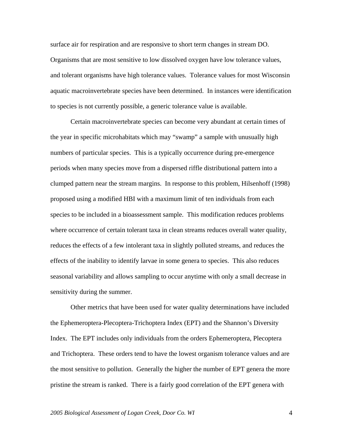surface air for respiration and are responsive to short term changes in stream DO. Organisms that are most sensitive to low dissolved oxygen have low tolerance values, and tolerant organisms have high tolerance values. Tolerance values for most Wisconsin aquatic macroinvertebrate species have been determined. In instances were identification to species is not currently possible, a generic tolerance value is available.

Certain macroinvertebrate species can become very abundant at certain times of the year in specific microhabitats which may "swamp" a sample with unusually high numbers of particular species. This is a typically occurrence during pre-emergence periods when many species move from a dispersed riffle distributional pattern into a clumped pattern near the stream margins. In response to this problem, Hilsenhoff (1998) proposed using a modified HBI with a maximum limit of ten individuals from each species to be included in a bioassessment sample. This modification reduces problems where occurrence of certain tolerant taxa in clean streams reduces overall water quality, reduces the effects of a few intolerant taxa in slightly polluted streams, and reduces the effects of the inability to identify larvae in some genera to species. This also reduces seasonal variability and allows sampling to occur anytime with only a small decrease in sensitivity during the summer.

Other metrics that have been used for water quality determinations have included the Ephemeroptera-Plecoptera-Trichoptera Index (EPT) and the Shannon's Diversity Index. The EPT includes only individuals from the orders Ephemeroptera, Plecoptera and Trichoptera. These orders tend to have the lowest organism tolerance values and are the most sensitive to pollution. Generally the higher the number of EPT genera the more pristine the stream is ranked. There is a fairly good correlation of the EPT genera with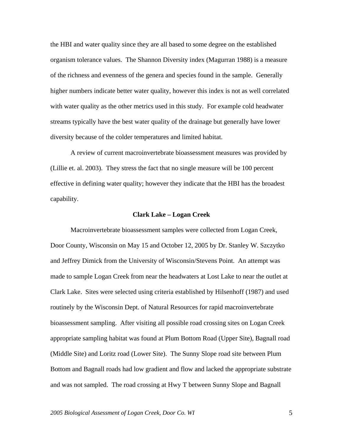the HBI and water quality since they are all based to some degree on the established organism tolerance values. The Shannon Diversity index (Magurran 1988) is a measure of the richness and evenness of the genera and species found in the sample. Generally higher numbers indicate better water quality, however this index is not as well correlated with water quality as the other metrics used in this study. For example cold headwater streams typically have the best water quality of the drainage but generally have lower diversity because of the colder temperatures and limited habitat.

A review of current macroinvertebrate bioassessment measures was provided by (Lillie et. al. 2003). They stress the fact that no single measure will be 100 percent effective in defining water quality; however they indicate that the HBI has the broadest capability.

#### **Clark Lake – Logan Creek**

 Macroinvertebrate bioassessment samples were collected from Logan Creek, Door County, Wisconsin on May 15 and October 12, 2005 by Dr. Stanley W. Szczytko and Jeffrey Dimick from the University of Wisconsin/Stevens Point. An attempt was made to sample Logan Creek from near the headwaters at Lost Lake to near the outlet at Clark Lake. Sites were selected using criteria established by Hilsenhoff (1987) and used routinely by the Wisconsin Dept. of Natural Resources for rapid macroinvertebrate bioassessment sampling. After visiting all possible road crossing sites on Logan Creek appropriate sampling habitat was found at Plum Bottom Road (Upper Site), Bagnall road (Middle Site) and Loritz road (Lower Site). The Sunny Slope road site between Plum Bottom and Bagnall roads had low gradient and flow and lacked the appropriate substrate and was not sampled. The road crossing at Hwy T between Sunny Slope and Bagnall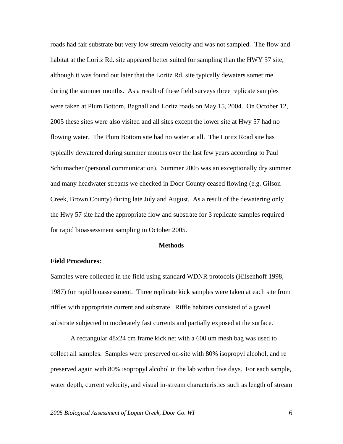roads had fair substrate but very low stream velocity and was not sampled. The flow and habitat at the Loritz Rd. site appeared better suited for sampling than the HWY 57 site, although it was found out later that the Loritz Rd. site typically dewaters sometime during the summer months. As a result of these field surveys three replicate samples were taken at Plum Bottom, Bagnall and Loritz roads on May 15, 2004. On October 12, 2005 these sites were also visited and all sites except the lower site at Hwy 57 had no flowing water. The Plum Bottom site had no water at all. The Loritz Road site has typically dewatered during summer months over the last few years according to Paul Schumacher (personal communication). Summer 2005 was an exceptionally dry summer and many headwater streams we checked in Door County ceased flowing (e.g. Gilson Creek, Brown County) during late July and August. As a result of the dewatering only the Hwy 57 site had the appropriate flow and substrate for 3 replicate samples required for rapid bioassessment sampling in October 2005.

#### **Methods**

# **Field Procedures:**

Samples were collected in the field using standard WDNR protocols (Hilsenhoff 1998, 1987) for rapid bioassessment. Three replicate kick samples were taken at each site from riffles with appropriate current and substrate. Riffle habitats consisted of a gravel substrate subjected to moderately fast currents and partially exposed at the surface.

 A rectangular 48x24 cm frame kick net with a 600 um mesh bag was used to collect all samples. Samples were preserved on-site with 80% isopropyl alcohol, and re preserved again with 80% isopropyl alcohol in the lab within five days. For each sample, water depth, current velocity, and visual in-stream characteristics such as length of stream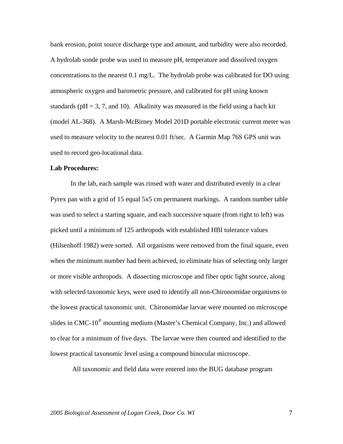bank erosion, point source discharge type and amount, and turbidity were also recorded. A hydrolab sonde probe was used to measure pH, temperature and dissolved oxygen concentrations to the nearest 0.1 mg/L. The hydrolab probe was calibrated for DO using atmospheric oxygen and barometric pressure, and calibrated for pH using known standards ( $pH = 3, 7$ , and 10). Alkalinity was measured in the field using a hach kit (model AL-368). A Marsh-McBirney Model 201D portable electronic current meter was used to measure velocity to the nearest 0.01 ft/sec. A Garmin Map 76S GPS unit was used to record geo-locational data.

# **Lab Procedures:**

In the lab, each sample was rinsed with water and distributed evenly in a clear Pyrex pan with a grid of 15 equal 5x5 cm permanent markings. A random number table was used to select a starting square, and each successive square (from right to left) was picked until a minimum of 125 arthropods with established HBI tolerance values (Hilsenhoff 1982) were sorted. All organisms were removed from the final square, even when the minimum number had been achieved, to eliminate bias of selecting only larger or more visible arthropods. A dissecting microscope and fiber optic light source, along with selected taxonomic keys, were used to identify all non-Chironomidae organisms to the lowest practical taxonomic unit. Chironomidae larvae were mounted on microscope slides in CMC-10® mounting medium (Master's Chemical Company, Inc.) and allowed to clear for a minimum of five days. The larvae were then counted and identified to the lowest practical taxonomic level using a compound binocular microscope.

All taxonomic and field data were entered into the BUG database program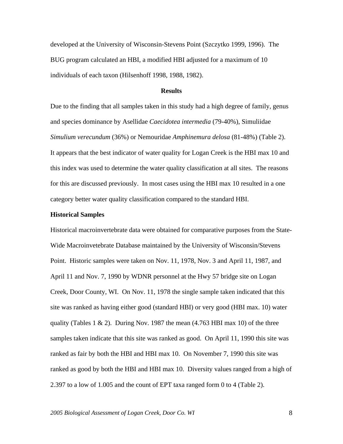developed at the University of Wisconsin-Stevens Point (Szczytko 1999, 1996). The BUG program calculated an HBI, a modified HBI adjusted for a maximum of 10 individuals of each taxon (Hilsenhoff 1998, 1988, 1982).

## **Results**

Due to the finding that all samples taken in this study had a high degree of family, genus and species dominance by Asellidae *Caecidotea intermedia* (79-40%), Simuliidae *Simulium verecundum* (36%) or Nemouridae *Amphinemura delosa* (81-48%) (Table 2). It appears that the best indicator of water quality for Logan Creek is the HBI max 10 and this index was used to determine the water quality classification at all sites. The reasons for this are discussed previously. In most cases using the HBI max 10 resulted in a one category better water quality classification compared to the standard HBI.

#### **Historical Samples**

Historical macroinvertebrate data were obtained for comparative purposes from the State-Wide Macroinvetebrate Database maintained by the University of Wisconsin/Stevens Point. Historic samples were taken on Nov. 11, 1978, Nov. 3 and April 11, 1987, and April 11 and Nov. 7, 1990 by WDNR personnel at the Hwy 57 bridge site on Logan Creek, Door County, WI. On Nov. 11, 1978 the single sample taken indicated that this site was ranked as having either good (standard HBI) or very good (HBI max. 10) water quality (Tables 1  $\&$  2). During Nov. 1987 the mean (4.763 HBI max 10) of the three samples taken indicate that this site was ranked as good. On April 11, 1990 this site was ranked as fair by both the HBI and HBI max 10. On November 7, 1990 this site was ranked as good by both the HBI and HBI max 10. Diversity values ranged from a high of 2.397 to a low of 1.005 and the count of EPT taxa ranged form 0 to 4 (Table 2).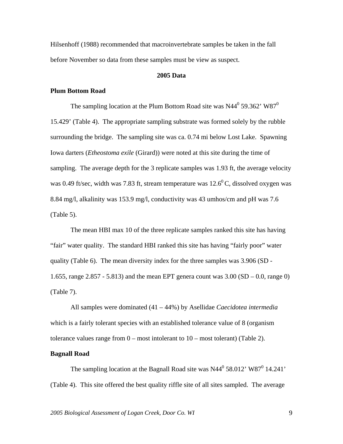Hilsenhoff (1988) recommended that macroinvertebrate samples be taken in the fall before November so data from these samples must be view as suspect.

# **2005 Data**

## **Plum Bottom Road**

The sampling location at the Plum Bottom Road site was  $N44^0$  59.362'  $W87^0$ 15.429' (Table 4). The appropriate sampling substrate was formed solely by the rubble surrounding the bridge. The sampling site was ca. 0.74 mi below Lost Lake. Spawning Iowa darters (*Etheostoma exile* (Girard)) were noted at this site during the time of sampling. The average depth for the 3 replicate samples was 1.93 ft, the average velocity was 0.49 ft/sec, width was 7.83 ft, stream temperature was  $12.6^{\circ}$ C, dissolved oxygen was 8.84 mg/l, alkalinity was 153.9 mg/l, conductivity was 43 umhos/cm and pH was 7.6 (Table 5).

The mean HBI max 10 of the three replicate samples ranked this site has having "fair" water quality. The standard HBI ranked this site has having "fairly poor" water quality (Table 6). The mean diversity index for the three samples was 3.906 (SD - 1.655, range 2.857 - 5.813) and the mean EPT genera count was  $3.00$  (SD  $-0.0$ , range 0) (Table 7).

All samples were dominated (41 – 44%) by Asellidae *Caecidotea intermedia* which is a fairly tolerant species with an established tolerance value of 8 (organism tolerance values range from  $0$  – most intolerant to  $10$  – most tolerant) (Table 2).

## **Bagnall Road**

The sampling location at the Bagnall Road site was  $N44^0$  58.012' W87<sup>0</sup> 14.241' (Table 4). This site offered the best quality riffle site of all sites sampled. The average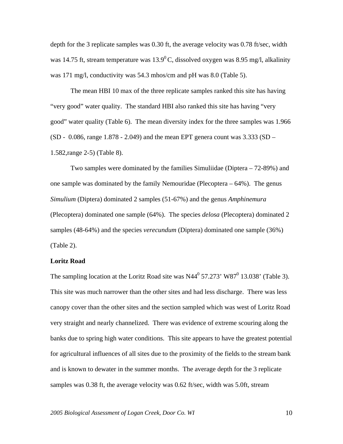depth for the 3 replicate samples was 0.30 ft, the average velocity was 0.78 ft/sec, width was 14.75 ft, stream temperature was  $13.9^{\circ}$ C, dissolved oxygen was 8.95 mg/l, alkalinity was 171 mg/l, conductivity was 54.3 mhos/cm and pH was 8.0 (Table 5).

The mean HBI 10 max of the three replicate samples ranked this site has having "very good" water quality. The standard HBI also ranked this site has having "very good" water quality (Table 6). The mean diversity index for the three samples was 1.966 (SD - 0.086, range 1.878 - 2.049) and the mean EPT genera count was  $3.333$  (SD -1.582,range 2-5) (Table 8).

Two samples were dominated by the families Simuliidae (Diptera – 72-89%) and one sample was dominated by the family Nemouridae (Plecoptera  $-64\%$ ). The genus *Simulium* (Diptera) dominated 2 samples (51-67%) and the genus *Amphinemura* (Plecoptera) dominated one sample (64%). The species *delosa* (Plecoptera) dominated 2 samples (48-64%) and the species *verecundum* (Diptera) dominated one sample (36%) (Table 2).

# **Loritz Road**

The sampling location at the Loritz Road site was  $N44^0$  57.273' W87<sup>0</sup> 13.038' (Table 3). This site was much narrower than the other sites and had less discharge. There was less canopy cover than the other sites and the section sampled which was west of Loritz Road very straight and nearly channelized. There was evidence of extreme scouring along the banks due to spring high water conditions. This site appears to have the greatest potential for agricultural influences of all sites due to the proximity of the fields to the stream bank and is known to dewater in the summer months. The average depth for the 3 replicate samples was 0.38 ft, the average velocity was 0.62 ft/sec, width was 5.0ft, stream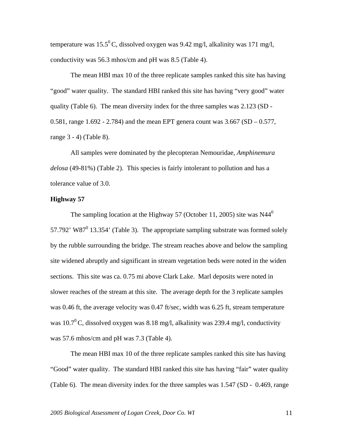temperature was  $15.5^{\circ}$ C, dissolved oxygen was 9.42 mg/l, alkalinity was 171 mg/l, conductivity was 56.3 mhos/cm and pH was 8.5 (Table 4).

The mean HBI max 10 of the three replicate samples ranked this site has having "good" water quality. The standard HBI ranked this site has having "very good" water quality (Table 6). The mean diversity index for the three samples was 2.123 (SD - 0.581, range 1.692 - 2.784) and the mean EPT genera count was  $3.667$  (SD  $- 0.577$ , range 3 - 4) (Table 8).

All samples were dominated by the plecopteran Nemouridae, *Amphinemura delosa* (49-81%) (Table 2). This species is fairly intolerant to pollution and has a tolerance value of 3.0.

# **Highway 57**

The sampling location at the Highway 57 (October 11, 2005) site was  $N44^0$ 57.792' W87 $^0$  13.354' (Table 3). The appropriate sampling substrate was formed solely by the rubble surrounding the bridge. The stream reaches above and below the sampling site widened abruptly and significant in stream vegetation beds were noted in the widen sections. This site was ca. 0.75 mi above Clark Lake. Marl deposits were noted in slower reaches of the stream at this site. The average depth for the 3 replicate samples was 0.46 ft, the average velocity was 0.47 ft/sec, width was 6.25 ft, stream temperature was 10.7<sup>0</sup> C, dissolved oxygen was 8.18 mg/l, alkalinity was 239.4 mg/l, conductivity was 57.6 mhos/cm and pH was 7.3 (Table 4).

The mean HBI max 10 of the three replicate samples ranked this site has having "Good" water quality. The standard HBI ranked this site has having "fair" water quality (Table 6). The mean diversity index for the three samples was 1.547 (SD - 0.469, range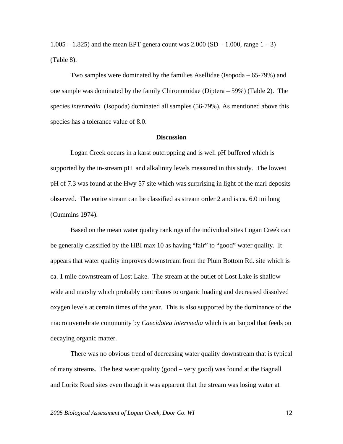1.005 – 1.825) and the mean EPT genera count was  $2.000$  (SD – 1.000, range  $1 - 3$ ) (Table 8).

Two samples were dominated by the families Asellidae (Isopoda – 65-79%) and one sample was dominated by the family Chironomidae (Diptera – 59%) (Table 2). The species *intermedia* (Isopoda) dominated all samples (56-79%). As mentioned above this species has a tolerance value of 8.0.

## **Discussion**

 Logan Creek occurs in a karst outcropping and is well pH buffered which is supported by the in-stream pH and alkalinity levels measured in this study. The lowest pH of 7.3 was found at the Hwy 57 site which was surprising in light of the marl deposits observed. The entire stream can be classified as stream order 2 and is ca. 6.0 mi long (Cummins 1974).

 Based on the mean water quality rankings of the individual sites Logan Creek can be generally classified by the HBI max 10 as having "fair" to "good" water quality. It appears that water quality improves downstream from the Plum Bottom Rd. site which is ca. 1 mile downstream of Lost Lake. The stream at the outlet of Lost Lake is shallow wide and marshy which probably contributes to organic loading and decreased dissolved oxygen levels at certain times of the year. This is also supported by the dominance of the macroinvertebrate community by *Caecidotea intermedia* which is an Isopod that feeds on decaying organic matter.

There was no obvious trend of decreasing water quality downstream that is typical of many streams. The best water quality (good – very good) was found at the Bagnall and Loritz Road sites even though it was apparent that the stream was losing water at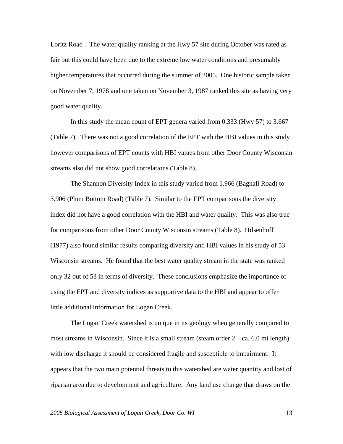Loritz Road . The water quality ranking at the Hwy 57 site during October was rated as fair but this could have been due to the extreme low water conditions and presumably higher temperatures that occurred during the summer of 2005. One historic sample taken on November 7, 1978 and one taken on November 3, 1987 ranked this site as having very good water quality.

In this study the mean count of EPT genera varied from 0.333 (Hwy 57) to 3.667 (Table 7). There was not a good correlation of the EPT with the HBI values in this study however comparisons of EPT counts with HBI values from other Door County Wisconsin streams also did not show good correlations (Table 8).

The Shannon Diversity Index in this study varied from 1.966 (Bagnall Road) to 3.906 (Plum Bottom Road) (Table 7). Similar to the EPT comparisons the diversity index did not have a good correlation with the HBI and water quality. This was also true for comparisons from other Door County Wisconsin streams (Table 8). Hilsenhoff (1977) also found similar results comparing diversity and HBI values in his study of 53 Wisconsin streams. He found that the best water quality stream in the state was ranked only 32 out of 53 in terms of diversity. These conclusions emphasize the importance of using the EPT and diversity indices as supportive data to the HBI and appear to offer little additional information for Logan Creek.

The Logan Creek watershed is unique in its geology when generally compared to most streams in Wisconsin. Since it is a small stream (steam order  $2 - ca$ . 6.0 mi length) with low discharge it should be considered fragile and susceptible to impairment. It appears that the two main potential threats to this watershed are water quantity and lost of riparian area due to development and agriculture. Any land use change that draws on the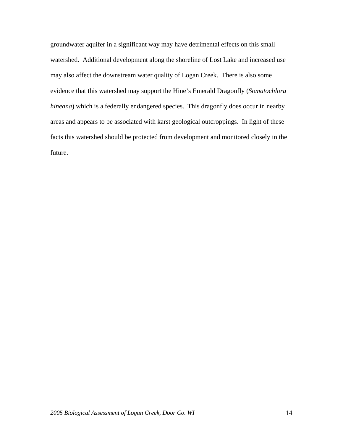groundwater aquifer in a significant way may have detrimental effects on this small watershed. Additional development along the shoreline of Lost Lake and increased use may also affect the downstream water quality of Logan Creek. There is also some evidence that this watershed may support the Hine's Emerald Dragonfly (*Somatochlora hineana*) which is a federally endangered species. This dragonfly does occur in nearby areas and appears to be associated with karst geological outcroppings. In light of these facts this watershed should be protected from development and monitored closely in the future.